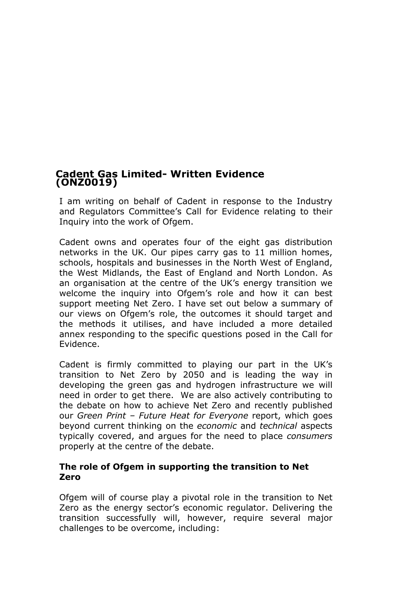# **Cadent Gas Limited- Written Evidence (ONZ0019)**

I am writing on behalf of Cadent in response to the Industry and Regulators Committee's Call for Evidence relating to their Inquiry into the work of Ofgem.

Cadent owns and operates four of the eight gas distribution networks in the UK. Our pipes carry gas to 11 million homes, schools, hospitals and businesses in the North West of England, the West Midlands, the East of England and North London. As an organisation at the centre of the UK's energy transition we welcome the inquiry into Ofgem's role and how it can best support meeting Net Zero. I have set out below a summary of our views on Ofgem's role, the outcomes it should target and the methods it utilises, and have included a more detailed annex responding to the specific questions posed in the Call for Evidence.

Cadent is firmly committed to playing our part in the UK's transition to Net Zero by 2050 and is leading the way in developing the green gas and hydrogen infrastructure we will need in order to get there. We are also actively contributing to the debate on how to achieve Net Zero and recently published our *Green Print – Future Heat for Everyone* report, which goes beyond current thinking on the *economic* and *technical* aspects typically covered, and argues for the need to place *consumers* properly at the centre of the debate.

## **The role of Ofgem in supporting the transition to Net Zero**

Ofgem will of course play a pivotal role in the transition to Net Zero as the energy sector's economic regulator. Delivering the transition successfully will, however, require several major challenges to be overcome, including: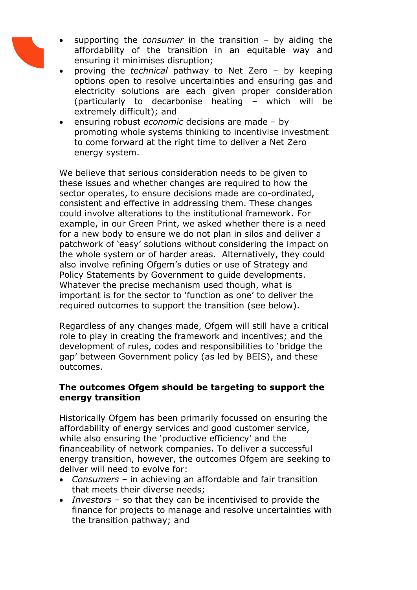- supporting the *consumer* in the transition by aiding the affordability of the transition in an equitable way and ensuring it minimises disruption;
- proving the *technical* pathway to Net Zero by keeping options open to resolve uncertainties and ensuring gas and electricity solutions are each given proper consideration (particularly to decarbonise heating – which will be extremely difficult); and
- ensuring robust *economic* decisions are made by promoting whole systems thinking to incentivise investment to come forward at the right time to deliver a Net Zero energy system.

We believe that serious consideration needs to be given to these issues and whether changes are required to how the sector operates, to ensure decisions made are co-ordinated, consistent and effective in addressing them. These changes could involve alterations to the institutional framework. For example, in our Green Print, we asked whether there is a need for a new body to ensure we do not plan in silos and deliver a patchwork of 'easy' solutions without considering the impact on the whole system or of harder areas. Alternatively, they could also involve refining Ofgem's duties or use of Strategy and Policy Statements by Government to guide developments. Whatever the precise mechanism used though, what is important is for the sector to 'function as one' to deliver the required outcomes to support the transition (see below).

Regardless of any changes made, Ofgem will still have a critical role to play in creating the framework and incentives; and the development of rules, codes and responsibilities to 'bridge the gap' between Government policy (as led by BEIS), and these outcomes.

## **The outcomes Ofgem should be targeting to support the energy transition**

Historically Ofgem has been primarily focussed on ensuring the affordability of energy services and good customer service, while also ensuring the 'productive efficiency' and the financeability of network companies. To deliver a successful energy transition, however, the outcomes Ofgem are seeking to deliver will need to evolve for:

- *Consumers* in achieving an affordable and fair transition that meets their diverse needs;
- *Investors* so that they can be incentivised to provide the finance for projects to manage and resolve uncertainties with the transition pathway; and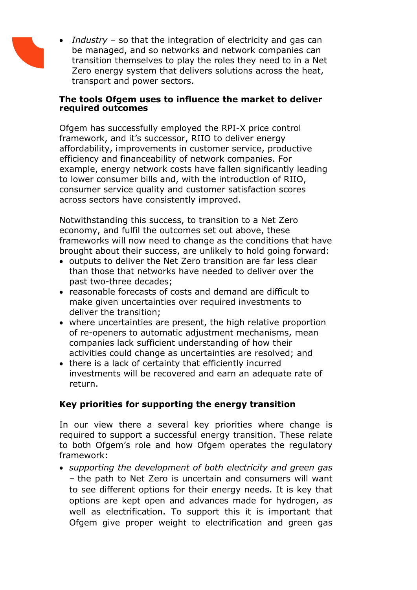

 *Industry* – so that the integration of electricity and gas can be managed, and so networks and network companies can transition themselves to play the roles they need to in a Net Zero energy system that delivers solutions across the heat, transport and power sectors.

#### **The tools Ofgem uses to influence the market to deliver required outcomes**

Ofgem has successfully employed the RPI-X price control framework, and it's successor, RIIO to deliver energy affordability, improvements in customer service, productive efficiency and financeability of network companies. For example, energy network costs have fallen significantly leading to lower consumer bills and, with the introduction of RIIO, consumer service quality and customer satisfaction scores across sectors have consistently improved.

Notwithstanding this success, to transition to a Net Zero economy, and fulfil the outcomes set out above, these frameworks will now need to change as the conditions that have brought about their success, are unlikely to hold going forward:

- outputs to deliver the Net Zero transition are far less clear than those that networks have needed to deliver over the past two-three decades;
- reasonable forecasts of costs and demand are difficult to make given uncertainties over required investments to deliver the transition;
- where uncertainties are present, the high relative proportion of re-openers to automatic adjustment mechanisms, mean companies lack sufficient understanding of how their activities could change as uncertainties are resolved; and
- there is a lack of certainty that efficiently incurred investments will be recovered and earn an adequate rate of return.

# **Key priorities for supporting the energy transition**

In our view there a several key priorities where change is required to support a successful energy transition. These relate to both Ofgem's role and how Ofgem operates the regulatory framework:

 *supporting the development of both electricity and green gas* – the path to Net Zero is uncertain and consumers will want to see different options for their energy needs. It is key that options are kept open and advances made for hydrogen, as well as electrification. To support this it is important that Ofgem give proper weight to electrification and green gas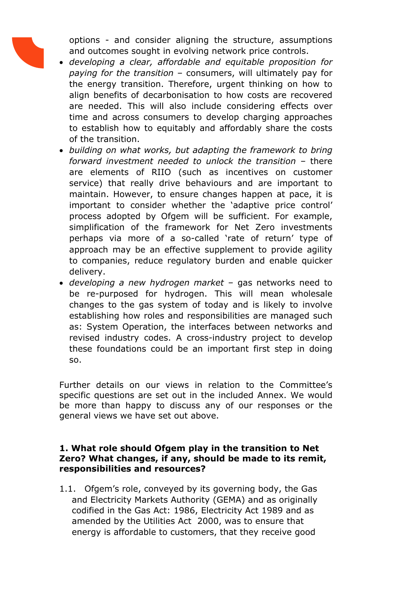

options - and consider aligning the structure, assumptions and outcomes sought in evolving network price controls.

- *developing a clear, affordable and equitable proposition for paying for the transition* – consumers, will ultimately pay for the energy transition. Therefore, urgent thinking on how to align benefits of decarbonisation to how costs are recovered are needed. This will also include considering effects over time and across consumers to develop charging approaches to establish how to equitably and affordably share the costs of the transition.
- *building on what works, but adapting the framework to bring forward investment needed to unlock the transition –* there are elements of RIIO (such as incentives on customer service) that really drive behaviours and are important to maintain. However, to ensure changes happen at pace, it is important to consider whether the 'adaptive price control' process adopted by Ofgem will be sufficient. For example, simplification of the framework for Net Zero investments perhaps via more of a so-called 'rate of return' type of approach may be an effective supplement to provide agility to companies, reduce regulatory burden and enable quicker delivery.
- *developing a new hydrogen market* gas networks need to be re-purposed for hydrogen. This will mean wholesale changes to the gas system of today and is likely to involve establishing how roles and responsibilities are managed such as: System Operation, the interfaces between networks and revised industry codes. A cross-industry project to develop these foundations could be an important first step in doing so.

Further details on our views in relation to the Committee's specific questions are set out in the included Annex. We would be more than happy to discuss any of our responses or the general views we have set out above.

#### **1. What role should Ofgem play in the transition to Net Zero? What changes, if any, should be made to its remit, responsibilities and resources?**

1.1. Ofgem's role, conveyed by its governing body, the Gas and Electricity Markets Authority (GEMA) and as originally codified in the Gas Act: 1986, Electricity Act 1989 and as amended by the Utilities Act 2000, was to ensure that energy is affordable to customers, that they receive good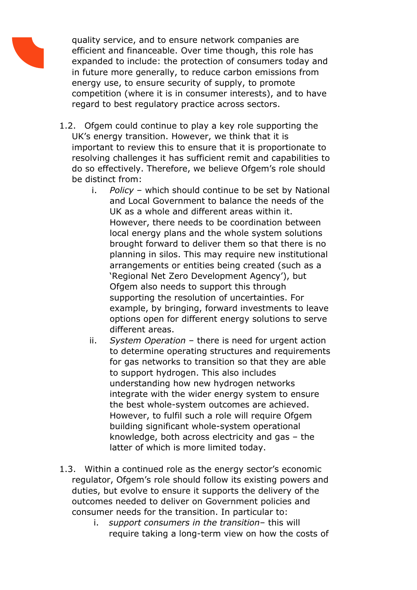quality service, and to ensure network companies are efficient and financeable. Over time though, this role has expanded to include: the protection of consumers today and in future more generally, to reduce carbon emissions from energy use, to ensure security of supply, to promote competition (where it is in consumer interests), and to have regard to best regulatory practice across sectors.

- 1.2. Ofgem could continue to play a key role supporting the UK's energy transition. However, we think that it is important to review this to ensure that it is proportionate to resolving challenges it has sufficient remit and capabilities to do so effectively. Therefore, we believe Ofgem's role should be distinct from:
	- i. *Policy* which should continue to be set by National and Local Government to balance the needs of the UK as a whole and different areas within it. However, there needs to be coordination between local energy plans and the whole system solutions brought forward to deliver them so that there is no planning in silos. This may require new institutional arrangements or entities being created (such as a 'Regional Net Zero Development Agency'), but Ofgem also needs to support this through supporting the resolution of uncertainties. For example, by bringing, forward investments to leave options open for different energy solutions to serve different areas.
	- ii. *System Operation* there is need for urgent action to determine operating structures and requirements for gas networks to transition so that they are able to support hydrogen. This also includes understanding how new hydrogen networks integrate with the wider energy system to ensure the best whole-system outcomes are achieved. However, to fulfil such a role will require Ofgem building significant whole-system operational knowledge, both across electricity and gas – the latter of which is more limited today.
- 1.3. Within a continued role as the energy sector's economic regulator, Ofgem's role should follow its existing powers and duties, but evolve to ensure it supports the delivery of the outcomes needed to deliver on Government policies and consumer needs for the transition. In particular to:
	- i. *support consumers in the transition* this will require taking a long-term view on how the costs of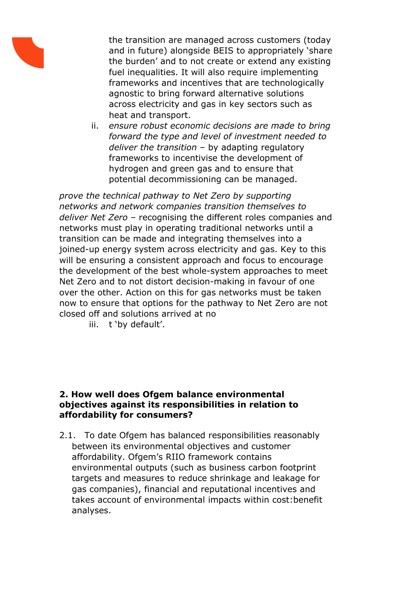

the transition are managed across customers (today and in future) alongside BEIS to appropriately 'share the burden' and to not create or extend any existing fuel inequalities. It will also require implementing frameworks and incentives that are technologically agnostic to bring forward alternative solutions across electricity and gas in key sectors such as heat and transport.

ii. *ensure robust economic decisions are made to bring forward the type and level of investment needed to deliver the transition* – by adapting regulatory frameworks to incentivise the development of hydrogen and green gas and to ensure that potential decommissioning can be managed.

*prove the technical pathway to Net Zero by supporting networks and network companies transition themselves to deliver Net Zero* – recognising the different roles companies and networks must play in operating traditional networks until a transition can be made and integrating themselves into a joined-up energy system across electricity and gas. Key to this will be ensuring a consistent approach and focus to encourage the development of the best whole-system approaches to meet Net Zero and to not distort decision-making in favour of one over the other. Action on this for gas networks must be taken now to ensure that options for the pathway to Net Zero are not closed off and solutions arrived at no

iii. t 'by default'.

## **2. How well does Ofgem balance environmental objectives against its responsibilities in relation to affordability for consumers?**

2.1. To date Ofgem has balanced responsibilities reasonably between its environmental objectives and customer affordability. Ofgem's RIIO framework contains environmental outputs (such as business carbon footprint targets and measures to reduce shrinkage and leakage for gas companies), financial and reputational incentives and takes account of environmental impacts within cost:benefit analyses.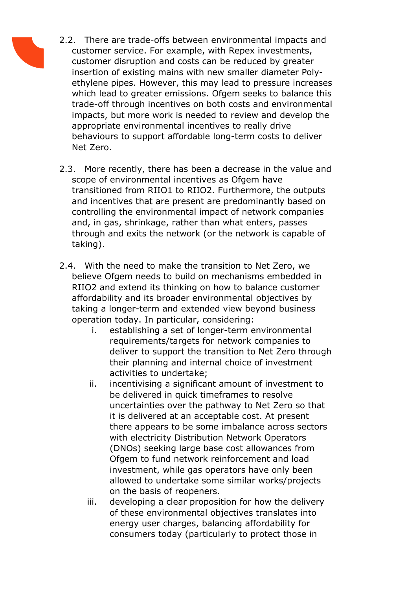- 2.2. There are trade-offs between environmental impacts and customer service. For example, with Repex investments, customer disruption and costs can be reduced by greater insertion of existing mains with new smaller diameter Polyethylene pipes. However, this may lead to pressure increases which lead to greater emissions. Ofgem seeks to balance this trade-off through incentives on both costs and environmental impacts, but more work is needed to review and develop the appropriate environmental incentives to really drive behaviours to support affordable long-term costs to deliver Net Zero.
	- 2.3. More recently, there has been a decrease in the value and scope of environmental incentives as Ofgem have transitioned from RIIO1 to RIIO2. Furthermore, the outputs and incentives that are present are predominantly based on controlling the environmental impact of network companies and, in gas, shrinkage, rather than what enters, passes through and exits the network (or the network is capable of taking).
	- 2.4. With the need to make the transition to Net Zero, we believe Ofgem needs to build on mechanisms embedded in RIIO2 and extend its thinking on how to balance customer affordability and its broader environmental objectives by taking a longer-term and extended view beyond business operation today. In particular, considering:
		- i. establishing a set of longer-term environmental requirements/targets for network companies to deliver to support the transition to Net Zero through their planning and internal choice of investment activities to undertake;
		- ii. incentivising a significant amount of investment to be delivered in quick timeframes to resolve uncertainties over the pathway to Net Zero so that it is delivered at an acceptable cost. At present there appears to be some imbalance across sectors with electricity Distribution Network Operators (DNOs) seeking large base cost allowances from Ofgem to fund network reinforcement and load investment, while gas operators have only been allowed to undertake some similar works/projects on the basis of reopeners.
		- iii. developing a clear proposition for how the delivery of these environmental objectives translates into energy user charges, balancing affordability for consumers today (particularly to protect those in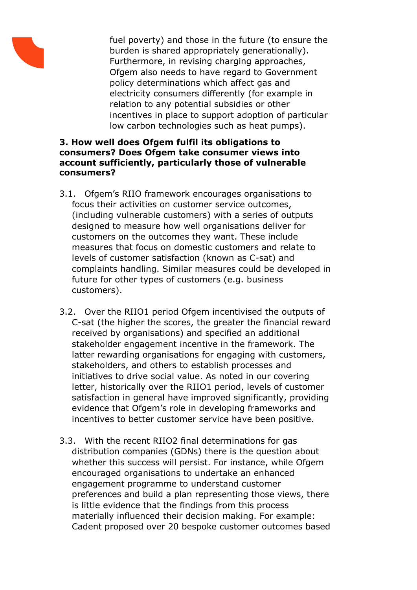

fuel poverty) and those in the future (to ensure the burden is shared appropriately generationally). Furthermore, in revising charging approaches, Ofgem also needs to have regard to Government policy determinations which affect gas and electricity consumers differently (for example in relation to any potential subsidies or other incentives in place to support adoption of particular low carbon technologies such as heat pumps).

# **3. How well does Ofgem fulfil its obligations to consumers? Does Ofgem take consumer views into account sufficiently, particularly those of vulnerable consumers?**

- 3.1. Ofgem's RIIO framework encourages organisations to focus their activities on customer service outcomes, (including vulnerable customers) with a series of outputs designed to measure how well organisations deliver for customers on the outcomes they want. These include measures that focus on domestic customers and relate to levels of customer satisfaction (known as C-sat) and complaints handling. Similar measures could be developed in future for other types of customers (e.g. business customers).
- 3.2. Over the RIIO1 period Ofgem incentivised the outputs of C-sat (the higher the scores, the greater the financial reward received by organisations) and specified an additional stakeholder engagement incentive in the framework. The latter rewarding organisations for engaging with customers, stakeholders, and others to establish processes and initiatives to drive social value. As noted in our covering letter, historically over the RIIO1 period, levels of customer satisfaction in general have improved significantly, providing evidence that Ofgem's role in developing frameworks and incentives to better customer service have been positive.
- 3.3. With the recent RIIO2 final determinations for gas distribution companies (GDNs) there is the question about whether this success will persist. For instance, while Ofgem encouraged organisations to undertake an enhanced engagement programme to understand customer preferences and build a plan representing those views, there is little evidence that the findings from this process materially influenced their decision making. For example: Cadent proposed over 20 bespoke customer outcomes based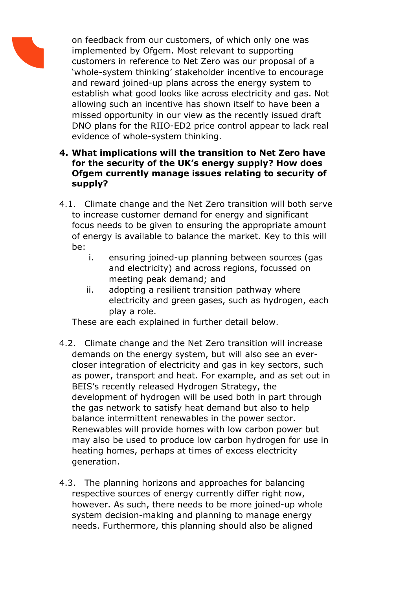

on feedback from our customers, of which only one was implemented by Ofgem. Most relevant to supporting customers in reference to Net Zero was our proposal of a 'whole-system thinking' stakeholder incentive to encourage and reward joined-up plans across the energy system to establish what good looks like across electricity and gas. Not allowing such an incentive has shown itself to have been a missed opportunity in our view as the recently issued draft DNO plans for the RIIO-ED2 price control appear to lack real evidence of whole-system thinking.

# **4. What implications will the transition to Net Zero have for the security of the UK's energy supply? How does Ofgem currently manage issues relating to security of supply?**

- 4.1. Climate change and the Net Zero transition will both serve to increase customer demand for energy and significant focus needs to be given to ensuring the appropriate amount of energy is available to balance the market. Key to this will be:
	- i. ensuring joined-up planning between sources (gas and electricity) and across regions, focussed on meeting peak demand; and
	- ii. adopting a resilient transition pathway where electricity and green gases, such as hydrogen, each play a role.

These are each explained in further detail below.

- 4.2. Climate change and the Net Zero transition will increase demands on the energy system, but will also see an evercloser integration of electricity and gas in key sectors, such as power, transport and heat. For example, and as set out in BEIS's recently released Hydrogen Strategy, the development of hydrogen will be used both in part through the gas network to satisfy heat demand but also to help balance intermittent renewables in the power sector. Renewables will provide homes with low carbon power but may also be used to produce low carbon hydrogen for use in heating homes, perhaps at times of excess electricity generation.
- 4.3. The planning horizons and approaches for balancing respective sources of energy currently differ right now, however. As such, there needs to be more joined-up whole system decision-making and planning to manage energy needs. Furthermore, this planning should also be aligned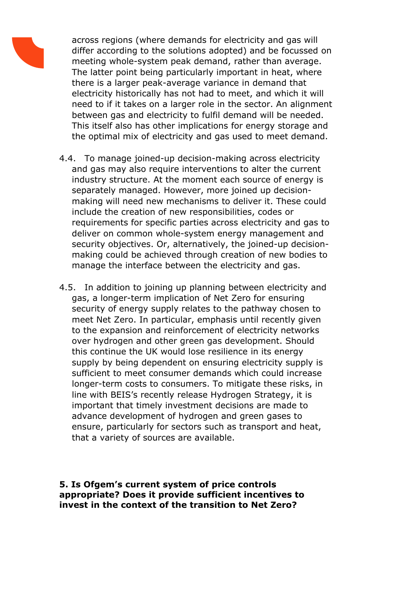

across regions (where demands for electricity and gas will differ according to the solutions adopted) and be focussed on meeting whole-system peak demand, rather than average. The latter point being particularly important in heat, where there is a larger peak-average variance in demand that electricity historically has not had to meet, and which it will need to if it takes on a larger role in the sector. An alignment between gas and electricity to fulfil demand will be needed. This itself also has other implications for energy storage and the optimal mix of electricity and gas used to meet demand.

- 4.4. To manage joined-up decision-making across electricity and gas may also require interventions to alter the current industry structure. At the moment each source of energy is separately managed. However, more joined up decisionmaking will need new mechanisms to deliver it. These could include the creation of new responsibilities, codes or requirements for specific parties across electricity and gas to deliver on common whole-system energy management and security objectives. Or, alternatively, the joined-up decisionmaking could be achieved through creation of new bodies to manage the interface between the electricity and gas.
- 4.5. In addition to joining up planning between electricity and gas, a longer-term implication of Net Zero for ensuring security of energy supply relates to the pathway chosen to meet Net Zero. In particular, emphasis until recently given to the expansion and reinforcement of electricity networks over hydrogen and other green gas development. Should this continue the UK would lose resilience in its energy supply by being dependent on ensuring electricity supply is sufficient to meet consumer demands which could increase longer-term costs to consumers. To mitigate these risks, in line with BEIS's recently release Hydrogen Strategy, it is important that timely investment decisions are made to advance development of hydrogen and green gases to ensure, particularly for sectors such as transport and heat, that a variety of sources are available.

**5. Is Ofgem's current system of price controls appropriate? Does it provide sufficient incentives to invest in the context of the transition to Net Zero?**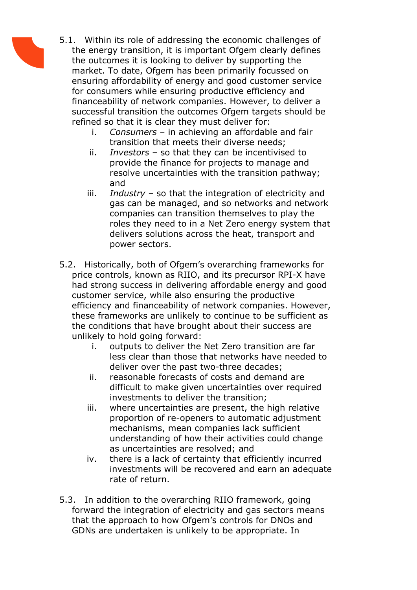

5.1. Within its role of addressing the economic challenges of the energy transition, it is important Ofgem clearly defines the outcomes it is looking to deliver by supporting the market. To date, Ofgem has been primarily focussed on ensuring affordability of energy and good customer service for consumers while ensuring productive efficiency and financeability of network companies. However, to deliver a successful transition the outcomes Ofgem targets should be refined so that it is clear they must deliver for:

- i. *Consumers* in achieving an affordable and fair transition that meets their diverse needs;
- ii. *Investors* so that they can be incentivised to provide the finance for projects to manage and resolve uncertainties with the transition pathway; and
- iii. *Industry* so that the integration of electricity and gas can be managed, and so networks and network companies can transition themselves to play the roles they need to in a Net Zero energy system that delivers solutions across the heat, transport and power sectors.
- 5.2. Historically, both of Ofgem's overarching frameworks for price controls, known as RIIO, and its precursor RPI-X have had strong success in delivering affordable energy and good customer service, while also ensuring the productive efficiency and financeability of network companies. However, these frameworks are unlikely to continue to be sufficient as the conditions that have brought about their success are unlikely to hold going forward:
	- i. outputs to deliver the Net Zero transition are far less clear than those that networks have needed to deliver over the past two-three decades;
	- ii. reasonable forecasts of costs and demand are difficult to make given uncertainties over required investments to deliver the transition;
	- iii. where uncertainties are present, the high relative proportion of re-openers to automatic adjustment mechanisms, mean companies lack sufficient understanding of how their activities could change as uncertainties are resolved; and
	- iv. there is a lack of certainty that efficiently incurred investments will be recovered and earn an adequate rate of return.
- 5.3. In addition to the overarching RIIO framework, going forward the integration of electricity and gas sectors means that the approach to how Ofgem's controls for DNOs and GDNs are undertaken is unlikely to be appropriate. In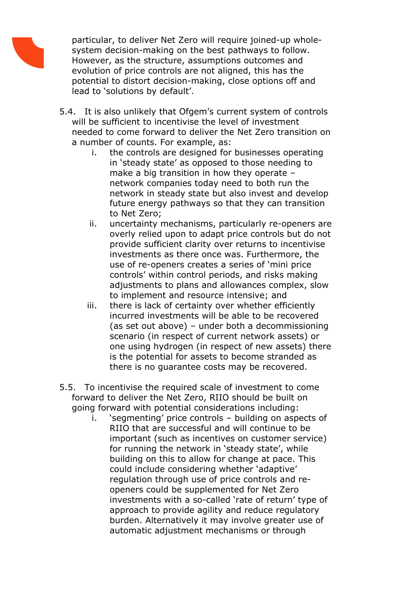

particular, to deliver Net Zero will require joined-up wholesystem decision-making on the best pathways to follow. However, as the structure, assumptions outcomes and evolution of price controls are not aligned, this has the potential to distort decision-making, close options off and lead to 'solutions by default'.

- 5.4. It is also unlikely that Ofgem's current system of controls will be sufficient to incentivise the level of investment needed to come forward to deliver the Net Zero transition on a number of counts. For example, as:
	- i. the controls are designed for businesses operating in 'steady state' as opposed to those needing to make a big transition in how they operate – network companies today need to both run the network in steady state but also invest and develop future energy pathways so that they can transition to Net Zero;
	- ii. uncertainty mechanisms, particularly re-openers are overly relied upon to adapt price controls but do not provide sufficient clarity over returns to incentivise investments as there once was. Furthermore, the use of re-openers creates a series of 'mini price controls' within control periods, and risks making adjustments to plans and allowances complex, slow to implement and resource intensive; and
	- iii. there is lack of certainty over whether efficiently incurred investments will be able to be recovered (as set out above) – under both a decommissioning scenario (in respect of current network assets) or one using hydrogen (in respect of new assets) there is the potential for assets to become stranded as there is no guarantee costs may be recovered.
- 5.5. To incentivise the required scale of investment to come forward to deliver the Net Zero, RIIO should be built on going forward with potential considerations including:
	- i. 'segmenting' price controls building on aspects of RIIO that are successful and will continue to be important (such as incentives on customer service) for running the network in 'steady state', while building on this to allow for change at pace. This could include considering whether 'adaptive' regulation through use of price controls and reopeners could be supplemented for Net Zero investments with a so-called 'rate of return' type of approach to provide agility and reduce regulatory burden. Alternatively it may involve greater use of automatic adjustment mechanisms or through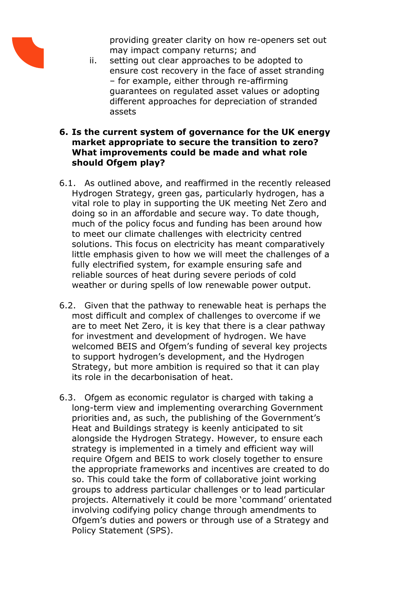

providing greater clarity on how re-openers set out may impact company returns; and

ii. setting out clear approaches to be adopted to ensure cost recovery in the face of asset stranding – for example, either through re-affirming guarantees on regulated asset values or adopting different approaches for depreciation of stranded assets

#### **6. Is the current system of governance for the UK energy market appropriate to secure the transition to zero? What improvements could be made and what role should Ofgem play?**

- 6.1. As outlined above, and reaffirmed in the recently released Hydrogen Strategy, green gas, particularly hydrogen, has a vital role to play in supporting the UK meeting Net Zero and doing so in an affordable and secure way. To date though, much of the policy focus and funding has been around how to meet our climate challenges with electricity centred solutions. This focus on electricity has meant comparatively little emphasis given to how we will meet the challenges of a fully electrified system, for example ensuring safe and reliable sources of heat during severe periods of cold weather or during spells of low renewable power output.
- 6.2. Given that the pathway to renewable heat is perhaps the most difficult and complex of challenges to overcome if we are to meet Net Zero, it is key that there is a clear pathway for investment and development of hydrogen. We have welcomed BEIS and Ofgem's funding of several key projects to support hydrogen's development, and the Hydrogen Strategy, but more ambition is required so that it can play its role in the decarbonisation of heat.
- 6.3. Ofgem as economic regulator is charged with taking a long-term view and implementing overarching Government priorities and, as such, the publishing of the Government's Heat and Buildings strategy is keenly anticipated to sit alongside the Hydrogen Strategy. However, to ensure each strategy is implemented in a timely and efficient way will require Ofgem and BEIS to work closely together to ensure the appropriate frameworks and incentives are created to do so. This could take the form of collaborative joint working groups to address particular challenges or to lead particular projects. Alternatively it could be more 'command' orientated involving codifying policy change through amendments to Ofgem's duties and powers or through use of a Strategy and Policy Statement (SPS).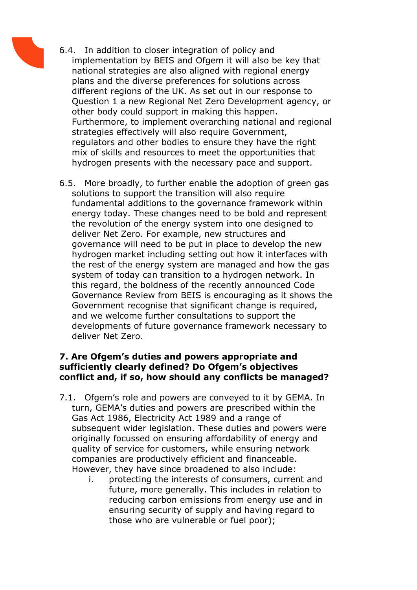- 
- 6.4. In addition to closer integration of policy and implementation by BEIS and Ofgem it will also be key that national strategies are also aligned with regional energy plans and the diverse preferences for solutions across different regions of the UK. As set out in our response to Question 1 a new Regional Net Zero Development agency, or other body could support in making this happen. Furthermore, to implement overarching national and regional strategies effectively will also require Government, regulators and other bodies to ensure they have the right mix of skills and resources to meet the opportunities that hydrogen presents with the necessary pace and support.
- 6.5. More broadly, to further enable the adoption of green gas solutions to support the transition will also require fundamental additions to the governance framework within energy today. These changes need to be bold and represent the revolution of the energy system into one designed to deliver Net Zero. For example, new structures and governance will need to be put in place to develop the new hydrogen market including setting out how it interfaces with the rest of the energy system are managed and how the gas system of today can transition to a hydrogen network. In this regard, the boldness of the recently announced Code Governance Review from BEIS is encouraging as it shows the Government recognise that significant change is required, and we welcome further consultations to support the developments of future governance framework necessary to deliver Net Zero.

## **7. Are Ofgem's duties and powers appropriate and sufficiently clearly defined? Do Ofgem's objectives conflict and, if so, how should any conflicts be managed?**

- 7.1. Ofgem's role and powers are conveyed to it by GEMA. In turn, GEMA's duties and powers are prescribed within the Gas Act 1986, Electricity Act 1989 and a range of subsequent wider legislation. These duties and powers were originally focussed on ensuring affordability of energy and quality of service for customers, while ensuring network companies are productively efficient and financeable. However, they have since broadened to also include:
	- i. protecting the interests of consumers, current and future, more generally. This includes in relation to reducing carbon emissions from energy use and in ensuring security of supply and having regard to those who are vulnerable or fuel poor);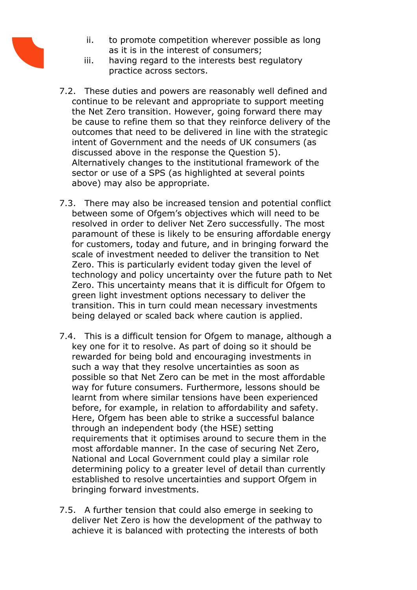

- ii. to promote competition wherever possible as long as it is in the interest of consumers;
- iii. having regard to the interests best regulatory practice across sectors.
- 7.2. These duties and powers are reasonably well defined and continue to be relevant and appropriate to support meeting the Net Zero transition. However, going forward there may be cause to refine them so that they reinforce delivery of the outcomes that need to be delivered in line with the strategic intent of Government and the needs of UK consumers (as discussed above in the response the Question 5). Alternatively changes to the institutional framework of the sector or use of a SPS (as highlighted at several points above) may also be appropriate.
- 7.3. There may also be increased tension and potential conflict between some of Ofgem's objectives which will need to be resolved in order to deliver Net Zero successfully. The most paramount of these is likely to be ensuring affordable energy for customers, today and future, and in bringing forward the scale of investment needed to deliver the transition to Net Zero. This is particularly evident today given the level of technology and policy uncertainty over the future path to Net Zero. This uncertainty means that it is difficult for Ofgem to green light investment options necessary to deliver the transition. This in turn could mean necessary investments being delayed or scaled back where caution is applied.
- 7.4. This is a difficult tension for Ofgem to manage, although a key one for it to resolve. As part of doing so it should be rewarded for being bold and encouraging investments in such a way that they resolve uncertainties as soon as possible so that Net Zero can be met in the most affordable way for future consumers. Furthermore, lessons should be learnt from where similar tensions have been experienced before, for example, in relation to affordability and safety. Here, Ofgem has been able to strike a successful balance through an independent body (the HSE) setting requirements that it optimises around to secure them in the most affordable manner. In the case of securing Net Zero, National and Local Government could play a similar role determining policy to a greater level of detail than currently established to resolve uncertainties and support Ofgem in bringing forward investments.
- 7.5. A further tension that could also emerge in seeking to deliver Net Zero is how the development of the pathway to achieve it is balanced with protecting the interests of both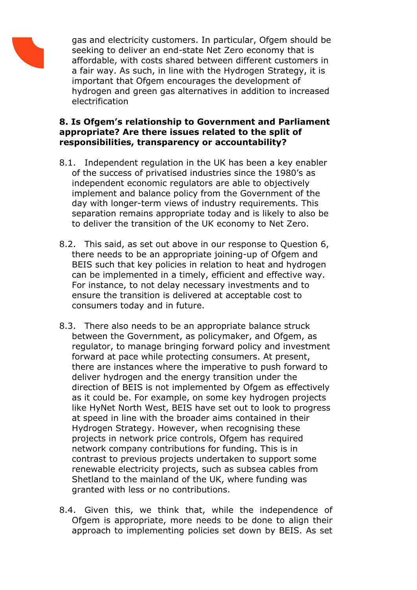

gas and electricity customers. In particular, Ofgem should be seeking to deliver an end-state Net Zero economy that is affordable, with costs shared between different customers in a fair way. As such, in line with the Hydrogen Strategy, it is important that Ofgem encourages the development of hydrogen and green gas alternatives in addition to increased electrification

# **8. Is Ofgem's relationship to Government and Parliament appropriate? Are there issues related to the split of responsibilities, transparency or accountability?**

- 8.1. Independent regulation in the UK has been a key enabler of the success of privatised industries since the 1980's as independent economic regulators are able to objectively implement and balance policy from the Government of the day with longer-term views of industry requirements. This separation remains appropriate today and is likely to also be to deliver the transition of the UK economy to Net Zero.
- 8.2. This said, as set out above in our response to Question 6, there needs to be an appropriate joining-up of Ofgem and BEIS such that key policies in relation to heat and hydrogen can be implemented in a timely, efficient and effective way. For instance, to not delay necessary investments and to ensure the transition is delivered at acceptable cost to consumers today and in future.
- 8.3. There also needs to be an appropriate balance struck between the Government, as policymaker, and Ofgem, as regulator, to manage bringing forward policy and investment forward at pace while protecting consumers. At present, there are instances where the imperative to push forward to deliver hydrogen and the energy transition under the direction of BEIS is not implemented by Ofgem as effectively as it could be. For example, on some key hydrogen projects like HyNet North West, BEIS have set out to look to progress at speed in line with the broader aims contained in their Hydrogen Strategy. However, when recognising these projects in network price controls, Ofgem has required network company contributions for funding. This is in contrast to previous projects undertaken to support some renewable electricity projects, such as subsea cables from Shetland to the mainland of the UK, where funding was granted with less or no contributions.
- 8.4. Given this, we think that, while the independence of Ofgem is appropriate, more needs to be done to align their approach to implementing policies set down by BEIS. As set